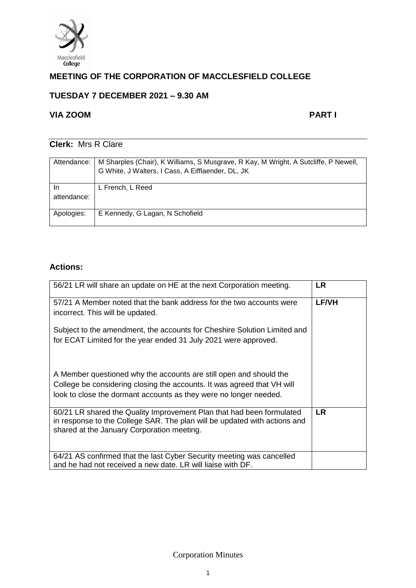

# **MEETING OF THE CORPORATION OF MACCLESFIELD COLLEGE**

# **TUESDAY 7 DECEMBER 2021 – 9.30 AM**

# **VIA ZOOM PART I**

# **Clerk:** Mrs R Clare

| Attendance:       | M Sharples (Chair), K Williams, S Musgrave, R Kay, M Wright, A Sutcliffe, P Newell,<br>G White, J Walters, I Cass, A Eifflaender, DL, JK |
|-------------------|------------------------------------------------------------------------------------------------------------------------------------------|
| In<br>attendance: | L French, L Reed                                                                                                                         |
| Apologies:        | E Kennedy, G Lagan, N Schofield                                                                                                          |

# **Actions:**

| 56/21 LR will share an update on HE at the next Corporation meeting.                                                                                                                                               | LR           |
|--------------------------------------------------------------------------------------------------------------------------------------------------------------------------------------------------------------------|--------------|
| 57/21 A Member noted that the bank address for the two accounts were<br>incorrect. This will be updated.                                                                                                           | <b>LF/VH</b> |
| Subject to the amendment, the accounts for Cheshire Solution Limited and<br>for ECAT Limited for the year ended 31 July 2021 were approved.                                                                        |              |
| A Member questioned why the accounts are still open and should the<br>College be considering closing the accounts. It was agreed that VH will<br>look to close the dormant accounts as they were no longer needed. |              |
| 60/21 LR shared the Quality Improvement Plan that had been formulated<br>in response to the College SAR. The plan will be updated with actions and<br>shared at the January Corporation meeting.                   | <b>LR</b>    |
| 64/21 AS confirmed that the last Cyber Security meeting was cancelled<br>and he had not received a new date. LR will liaise with DF.                                                                               |              |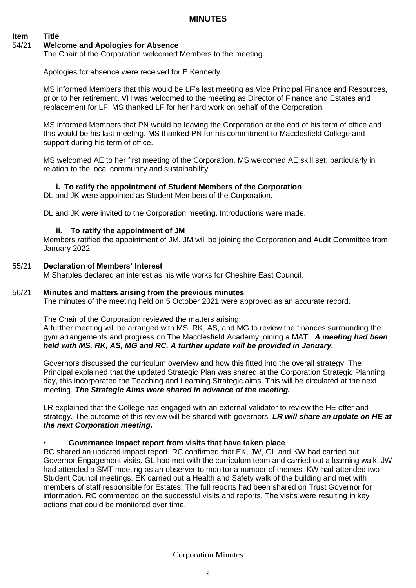**MINUTES**

## **Item Title**

#### 54/21 **Welcome and Apologies for Absence**

The Chair of the Corporation welcomed Members to the meeting.

Apologies for absence were received for E Kennedy.

MS informed Members that this would be LF's last meeting as Vice Principal Finance and Resources, prior to her retirement. VH was welcomed to the meeting as Director of Finance and Estates and replacement for LF. MS thanked LF for her hard work on behalf of the Corporation.

MS informed Members that PN would be leaving the Corporation at the end of his term of office and this would be his last meeting. MS thanked PN for his commitment to Macclesfield College and support during his term of office.

MS welcomed AE to her first meeting of the Corporation. MS welcomed AE skill set, particularly in relation to the local community and sustainability.

#### **i. To ratify the appointment of Student Members of the Corporation**

DL and JK were appointed as Student Members of the Corporation.

DL and JK were invited to the Corporation meeting. Introductions were made.

#### **ii. To ratify the appointment of JM**

Members ratified the appointment of JM. JM will be joining the Corporation and Audit Committee from January 2022.

#### 55/21 **Declaration of Members' Interest**

M Sharples declared an interest as his wife works for Cheshire East Council.

#### 56/21 **Minutes and matters arising from the previous minutes**

The minutes of the meeting held on 5 October 2021 were approved as an accurate record.

The Chair of the Corporation reviewed the matters arising:

A further meeting will be arranged with MS, RK, AS, and MG to review the finances surrounding the gym arrangements and progress on The Macclesfield Academy joining a MAT. *A meeting had been held with MS, RK, AS, MG and RC. A further update will be provided in January.* 

Governors discussed the curriculum overview and how this fitted into the overall strategy. The Principal explained that the updated Strategic Plan was shared at the Corporation Strategic Planning day, this incorporated the Teaching and Learning Strategic aims. This will be circulated at the next meeting. *The Strategic Aims were shared in advance of the meeting.* 

LR explained that the College has engaged with an external validator to review the HE offer and strategy. The outcome of this review will be shared with governors. *LR will share an update on HE at the next Corporation meeting.* 

#### • **Governance Impact report from visits that have taken place**

RC shared an updated impact report. RC confirmed that EK, JW, GL and KW had carried out Governor Engagement visits. GL had met with the curriculum team and carried out a learning walk. JW had attended a SMT meeting as an observer to monitor a number of themes. KW had attended two Student Council meetings. EK carried out a Health and Safety walk of the building and met with members of staff responsible for Estates. The full reports had been shared on Trust Governor for information. RC commented on the successful visits and reports. The visits were resulting in key actions that could be monitored over time.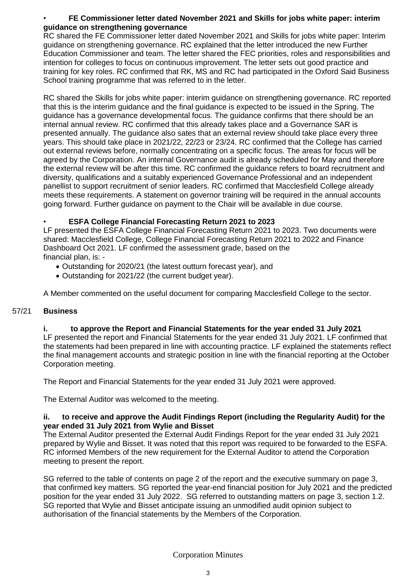### • **FE Commissioner letter dated November 2021 and Skills for jobs white paper: interim guidance on strengthening governance**

RC shared the FE Commissioner letter dated November 2021 and Skills for jobs white paper: Interim guidance on strengthening governance. RC explained that the letter introduced the new Further Education Commissioner and team. The letter shared the FEC priorities, roles and responsibilities and intention for colleges to focus on continuous improvement. The letter sets out good practice and training for key roles. RC confirmed that RK, MS and RC had participated in the Oxford Said Business School training programme that was referred to in the letter.

RC shared the Skills for jobs white paper: interim guidance on strengthening governance. RC reported that this is the interim guidance and the final guidance is expected to be issued in the Spring. The guidance has a governance developmental focus. The guidance confirms that there should be an internal annual review. RC confirmed that this already takes place and a Governance SAR is presented annually. The guidance also sates that an external review should take place every three years. This should take place in 2021/22, 22/23 or 23/24. RC confirmed that the College has carried out external reviews before, normally concentrating on a specific focus. The areas for focus will be agreed by the Corporation. An internal Governance audit is already scheduled for May and therefore the external review will be after this time. RC confirmed the guidance refers to board recruitment and diversity, qualifications and a suitably experienced Governance Professional and an independent panellist to support recruitment of senior leaders. RC confirmed that Macclesfield College already meets these requirements. A statement on governor training will be required in the annual accounts going forward. Further guidance on payment to the Chair will be available in due course.

### • **ESFA College Financial Forecasting Return 2021 to 2023**

LF presented the ESFA College Financial Forecasting Return 2021 to 2023. Two documents were shared: Macclesfield College, College Financial Forecasting Return 2021 to 2022 and Finance Dashboard Oct 2021. LF confirmed the assessment grade, based on the financial plan, is: -

- Outstanding for 2020/21 (the latest outturn forecast year), and
- Outstanding for 2021/22 (the current budget year).

A Member commented on the useful document for comparing Macclesfield College to the sector.

#### 57/21 **Business**

#### **i. to approve the Report and Financial Statements for the year ended 31 July 2021**

LF presented the report and Financial Statements for the year ended 31 July 2021. LF confirmed that the statements had been prepared in line with accounting practice. LF explained the statements reflect the final management accounts and strategic position in line with the financial reporting at the October Corporation meeting.

The Report and Financial Statements for the year ended 31 July 2021 were approved.

The External Auditor was welcomed to the meeting.

#### **ii. to receive and approve the Audit Findings Report (including the Regularity Audit) for the year ended 31 July 2021 from Wylie and Bisset**

The External Auditor presented the External Audit Findings Report for the year ended 31 July 2021 prepared by Wylie and Bisset. It was noted that this report was required to be forwarded to the ESFA. RC informed Members of the new requirement for the External Auditor to attend the Corporation meeting to present the report.

SG referred to the table of contents on page 2 of the report and the executive summary on page 3, that confirmed key matters. SG reported the year-end financial position for July 2021 and the predicted position for the year ended 31 July 2022. SG referred to outstanding matters on page 3, section 1.2. SG reported that Wylie and Bisset anticipate issuing an unmodified audit opinion subject to authorisation of the financial statements by the Members of the Corporation.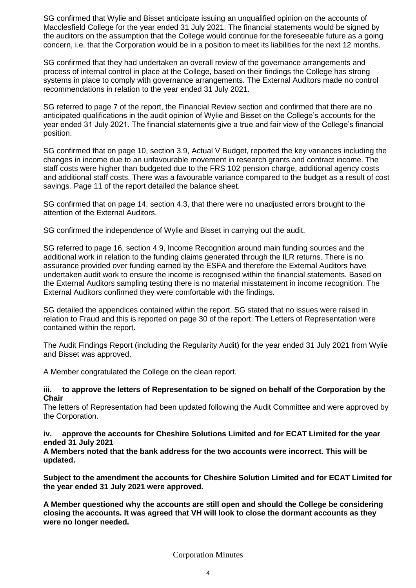SG confirmed that Wylie and Bisset anticipate issuing an unqualified opinion on the accounts of Macclesfield College for the year ended 31 July 2021. The financial statements would be signed by the auditors on the assumption that the College would continue for the foreseeable future as a going concern, i.e. that the Corporation would be in a position to meet its liabilities for the next 12 months.

SG confirmed that they had undertaken an overall review of the governance arrangements and process of internal control in place at the College, based on their findings the College has strong systems in place to comply with governance arrangements. The External Auditors made no control recommendations in relation to the year ended 31 July 2021.

SG referred to page 7 of the report, the Financial Review section and confirmed that there are no anticipated qualifications in the audit opinion of Wylie and Bisset on the College's accounts for the year ended 31 July 2021. The financial statements give a true and fair view of the College's financial position.

SG confirmed that on page 10, section 3.9, Actual V Budget, reported the key variances including the changes in income due to an unfavourable movement in research grants and contract income. The staff costs were higher than budgeted due to the FRS 102 pension charge, additional agency costs and additional staff costs. There was a favourable variance compared to the budget as a result of cost savings. Page 11 of the report detailed the balance sheet.

SG confirmed that on page 14, section 4.3, that there were no unadjusted errors brought to the attention of the External Auditors.

SG confirmed the independence of Wylie and Bisset in carrying out the audit.

SG referred to page 16, section 4.9, Income Recognition around main funding sources and the additional work in relation to the funding claims generated through the ILR returns. There is no assurance provided over funding earned by the ESFA and therefore the External Auditors have undertaken audit work to ensure the income is recognised within the financial statements. Based on the External Auditors sampling testing there is no material misstatement in income recognition. The External Auditors confirmed they were comfortable with the findings.

SG detailed the appendices contained within the report. SG stated that no issues were raised in relation to Fraud and this is reported on page 30 of the report. The Letters of Representation were contained within the report.

The Audit Findings Report (including the Regularity Audit) for the year ended 31 July 2021 from Wylie and Bisset was approved.

A Member congratulated the College on the clean report.

#### **iii. to approve the letters of Representation to be signed on behalf of the Corporation by the Chair**

The letters of Representation had been updated following the Audit Committee and were approved by the Corporation.

#### **iv. approve the accounts for Cheshire Solutions Limited and for ECAT Limited for the year ended 31 July 2021**

**A Members noted that the bank address for the two accounts were incorrect. This will be updated.** 

**Subject to the amendment the accounts for Cheshire Solution Limited and for ECAT Limited for the year ended 31 July 2021 were approved.** 

**A Member questioned why the accounts are still open and should the College be considering closing the accounts. It was agreed that VH will look to close the dormant accounts as they were no longer needed.**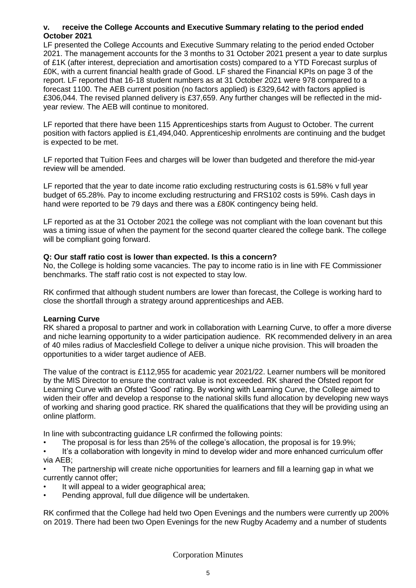#### **v. receive the College Accounts and Executive Summary relating to the period ended October 2021**

LF presented the College Accounts and Executive Summary relating to the period ended October 2021. The management accounts for the 3 months to 31 October 2021 present a year to date surplus of £1K (after interest, depreciation and amortisation costs) compared to a YTD Forecast surplus of £0K, with a current financial health grade of Good. LF shared the Financial KPIs on page 3 of the report. LF reported that 16-18 student numbers as at 31 October 2021 were 978 compared to a forecast 1100. The AEB current position (no factors applied) is £329,642 with factors applied is £306,044. The revised planned delivery is £37,659. Any further changes will be reflected in the midyear review. The AEB will continue to monitored.

LF reported that there have been 115 Apprenticeships starts from August to October. The current position with factors applied is £1,494,040. Apprenticeship enrolments are continuing and the budget is expected to be met.

LF reported that Tuition Fees and charges will be lower than budgeted and therefore the mid-year review will be amended.

LF reported that the year to date income ratio excluding restructuring costs is 61.58% v full year budget of 65.28%. Pay to income excluding restructuring and FRS102 costs is 59%. Cash days in hand were reported to be 79 days and there was a £80K contingency being held.

LF reported as at the 31 October 2021 the college was not compliant with the loan covenant but this was a timing issue of when the payment for the second quarter cleared the college bank. The college will be compliant going forward.

#### **Q: Our staff ratio cost is lower than expected. Is this a concern?**

No, the College is holding some vacancies. The pay to income ratio is in line with FE Commissioner benchmarks. The staff ratio cost is not expected to stay low.

RK confirmed that although student numbers are lower than forecast, the College is working hard to close the shortfall through a strategy around apprenticeships and AEB.

#### **Learning Curve**

RK shared a proposal to partner and work in collaboration with Learning Curve, to offer a more diverse and niche learning opportunity to a wider participation audience. RK recommended delivery in an area of 40 miles radius of Macclesfield College to deliver a unique niche provision. This will broaden the opportunities to a wider target audience of AEB.

The value of the contract is £112,955 for academic year 2021/22. Learner numbers will be monitored by the MIS Director to ensure the contract value is not exceeded. RK shared the Ofsted report for Learning Curve with an Ofsted 'Good' rating. By working with Learning Curve, the College aimed to widen their offer and develop a response to the national skills fund allocation by developing new ways of working and sharing good practice. RK shared the qualifications that they will be providing using an online platform.

In line with subcontracting guidance LR confirmed the following points:

• The proposal is for less than 25% of the college's allocation, the proposal is for 19.9%;

• It's a collaboration with longevity in mind to develop wider and more enhanced curriculum offer via AEB;

The partnership will create niche opportunities for learners and fill a learning gap in what we currently cannot offer;

- It will appeal to a wider geographical area;
- Pending approval, full due diligence will be undertaken.

RK confirmed that the College had held two Open Evenings and the numbers were currently up 200% on 2019. There had been two Open Evenings for the new Rugby Academy and a number of students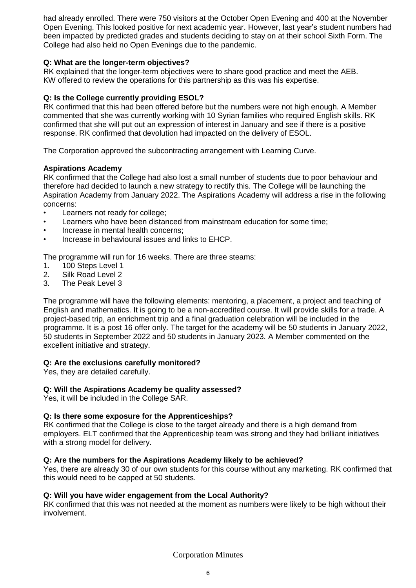had already enrolled. There were 750 visitors at the October Open Evening and 400 at the November Open Evening. This looked positive for next academic year. However, last year's student numbers had been impacted by predicted grades and students deciding to stay on at their school Sixth Form. The College had also held no Open Evenings due to the pandemic.

#### **Q: What are the longer-term objectives?**

RK explained that the longer-term objectives were to share good practice and meet the AEB. KW offered to review the operations for this partnership as this was his expertise.

#### **Q: Is the College currently providing ESOL?**

RK confirmed that this had been offered before but the numbers were not high enough. A Member commented that she was currently working with 10 Syrian families who required English skills. RK confirmed that she will put out an expression of interest in January and see if there is a positive response. RK confirmed that devolution had impacted on the delivery of ESOL.

The Corporation approved the subcontracting arrangement with Learning Curve.

#### **Aspirations Academy**

RK confirmed that the College had also lost a small number of students due to poor behaviour and therefore had decided to launch a new strategy to rectify this. The College will be launching the Aspiration Academy from January 2022. The Aspirations Academy will address a rise in the following concerns:

- Learners not ready for college:
- Learners who have been distanced from mainstream education for some time;
- Increase in mental health concerns:
- Increase in behavioural issues and links to EHCP.

The programme will run for 16 weeks. There are three steams:

- 1. 100 Steps Level 1
- 2. Silk Road Level 2
- 3. The Peak Level 3

The programme will have the following elements: mentoring, a placement, a project and teaching of English and mathematics. It is going to be a non-accredited course. It will provide skills for a trade. A project-based trip, an enrichment trip and a final graduation celebration will be included in the programme. It is a post 16 offer only. The target for the academy will be 50 students in January 2022, 50 students in September 2022 and 50 students in January 2023. A Member commented on the excellent initiative and strategy.

#### **Q: Are the exclusions carefully monitored?**

Yes, they are detailed carefully.

#### **Q: Will the Aspirations Academy be quality assessed?**

Yes, it will be included in the College SAR.

#### **Q: Is there some exposure for the Apprenticeships?**

RK confirmed that the College is close to the target already and there is a high demand from employers. ELT confirmed that the Apprenticeship team was strong and they had brilliant initiatives with a strong model for delivery.

#### **Q: Are the numbers for the Aspirations Academy likely to be achieved?**

Yes, there are already 30 of our own students for this course without any marketing. RK confirmed that this would need to be capped at 50 students.

#### **Q: Will you have wider engagement from the Local Authority?**

RK confirmed that this was not needed at the moment as numbers were likely to be high without their involvement.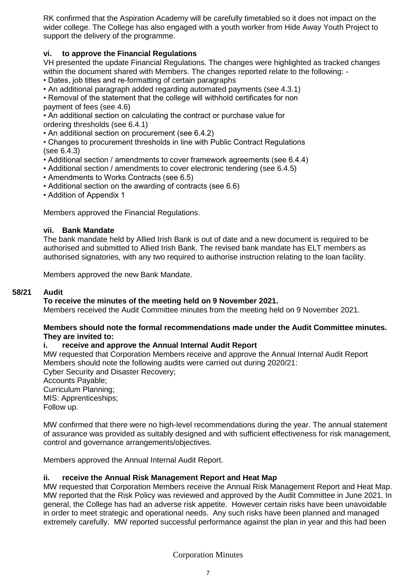RK confirmed that the Aspiration Academy will be carefully timetabled so it does not impact on the wider college. The College has also engaged with a youth worker from Hide Away Youth Project to support the delivery of the programme.

## **vi. to approve the Financial Regulations**

VH presented the update Financial Regulations. The changes were highlighted as tracked changes within the document shared with Members. The changes reported relate to the following: -

• Dates, job titles and re-formatting of certain paragraphs

• An additional paragraph added regarding automated payments (see 4.3.1)

• Removal of the statement that the college will withhold certificates for non

payment of fees (see 4.6)

• An additional section on calculating the contract or purchase value for ordering thresholds (see 6.4.1)

• An additional section on procurement (see 6.4.2)

• Changes to procurement thresholds in line with Public Contract Regulations (see 6.4.3)

- Additional section / amendments to cover framework agreements (see 6.4.4)
- Additional section / amendments to cover electronic tendering (see 6.4.5)
- Amendments to Works Contracts (see 6.5)
- Additional section on the awarding of contracts (see 6.6)
- Addition of Appendix 1

Members approved the Financial Regulations.

#### **vii. Bank Mandate**

The bank mandate held by Allied Irish Bank is out of date and a new document is required to be authorised and submitted to Allied Irish Bank. The revised bank mandate has ELT members as authorised signatories, with any two required to authorise instruction relating to the loan facility.

Members approved the new Bank Mandate.

#### **58/21 Audit**

#### **To receive the minutes of the meeting held on 9 November 2021.**

Members received the Audit Committee minutes from the meeting held on 9 November 2021.

#### **Members should note the formal recommendations made under the Audit Committee minutes. They are invited to:**

#### **i. receive and approve the Annual Internal Audit Report**

MW requested that Corporation Members receive and approve the Annual Internal Audit Report Members should note the following audits were carried out during 2020/21:

Cyber Security and Disaster Recovery;

Accounts Payable; Curriculum Planning; MIS: Apprenticeships; Follow up.

MW confirmed that there were no high-level recommendations during the year. The annual statement of assurance was provided as suitably designed and with sufficient effectiveness for risk management, control and governance arrangements/objectives.

Members approved the Annual Internal Audit Report.

#### **ii. receive the Annual Risk Management Report and Heat Map**

MW requested that Corporation Members receive the Annual Risk Management Report and Heat Map. MW reported that the Risk Policy was reviewed and approved by the Audit Committee in June 2021. In general, the College has had an adverse risk appetite. However certain risks have been unavoidable in order to meet strategic and operational needs. Any such risks have been planned and managed extremely carefully. MW reported successful performance against the plan in year and this had been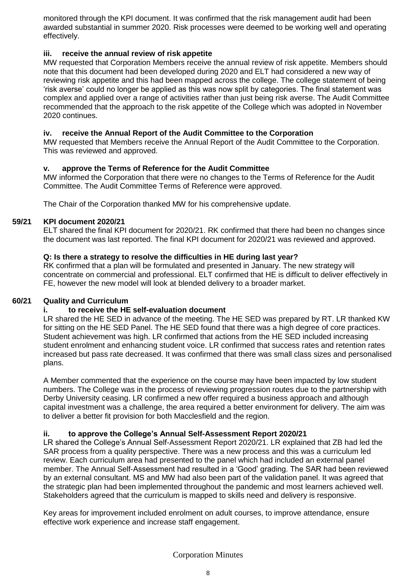monitored through the KPI document. It was confirmed that the risk management audit had been awarded substantial in summer 2020. Risk processes were deemed to be working well and operating effectively.

#### **iii. receive the annual review of risk appetite**

MW requested that Corporation Members receive the annual review of risk appetite. Members should note that this document had been developed during 2020 and ELT had considered a new way of reviewing risk appetite and this had been mapped across the college. The college statement of being 'risk averse' could no longer be applied as this was now split by categories. The final statement was complex and applied over a range of activities rather than just being risk averse. The Audit Committee recommended that the approach to the risk appetite of the College which was adopted in November 2020 continues.

### **iv. receive the Annual Report of the Audit Committee to the Corporation**

MW requested that Members receive the Annual Report of the Audit Committee to the Corporation. This was reviewed and approved.

### **v. approve the Terms of Reference for the Audit Committee**

MW informed the Corporation that there were no changes to the Terms of Reference for the Audit Committee. The Audit Committee Terms of Reference were approved.

The Chair of the Corporation thanked MW for his comprehensive update.

#### **59/21 KPI document 2020/21**

ELT shared the final KPI document for 2020/21. RK confirmed that there had been no changes since the document was last reported. The final KPI document for 2020/21 was reviewed and approved.

#### **Q: Is there a strategy to resolve the difficulties in HE during last year?**

RK confirmed that a plan will be formulated and presented in January. The new strategy will concentrate on commercial and professional. ELT confirmed that HE is difficult to deliver effectively in FE, however the new model will look at blended delivery to a broader market.

#### **60/21 Quality and Curriculum**

#### **i. to receive the HE self-evaluation document**

LR shared the HE SED in advance of the meeting. The HE SED was prepared by RT. LR thanked KW for sitting on the HE SED Panel. The HE SED found that there was a high degree of core practices. Student achievement was high. LR confirmed that actions from the HE SED included increasing student enrolment and enhancing student voice. LR confirmed that success rates and retention rates increased but pass rate decreased. It was confirmed that there was small class sizes and personalised plans.

A Member commented that the experience on the course may have been impacted by low student numbers. The College was in the process of reviewing progression routes due to the partnership with Derby University ceasing. LR confirmed a new offer required a business approach and although capital investment was a challenge, the area required a better environment for delivery. The aim was to deliver a better fit provision for both Macclesfield and the region.

#### **ii. to approve the College's Annual Self-Assessment Report 2020/21**

LR shared the College's Annual Self-Assessment Report 2020/21. LR explained that ZB had led the SAR process from a quality perspective. There was a new process and this was a curriculum led review. Each curriculum area had presented to the panel which had included an external panel member. The Annual Self-Assessment had resulted in a 'Good' grading. The SAR had been reviewed by an external consultant. MS and MW had also been part of the validation panel. It was agreed that the strategic plan had been implemented throughout the pandemic and most learners achieved well. Stakeholders agreed that the curriculum is mapped to skills need and delivery is responsive.

Key areas for improvement included enrolment on adult courses, to improve attendance, ensure effective work experience and increase staff engagement.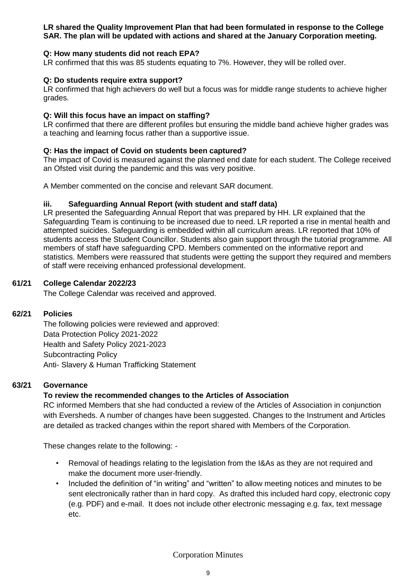#### **LR shared the Quality Improvement Plan that had been formulated in response to the College SAR. The plan will be updated with actions and shared at the January Corporation meeting.**

#### **Q: How many students did not reach EPA?**

LR confirmed that this was 85 students equating to 7%. However, they will be rolled over.

#### **Q: Do students require extra support?**

LR confirmed that high achievers do well but a focus was for middle range students to achieve higher grades.

#### **Q: Will this focus have an impact on staffing?**

LR confirmed that there are different profiles but ensuring the middle band achieve higher grades was a teaching and learning focus rather than a supportive issue.

#### **Q: Has the impact of Covid on students been captured?**

The impact of Covid is measured against the planned end date for each student. The College received an Ofsted visit during the pandemic and this was very positive.

A Member commented on the concise and relevant SAR document.

#### **iii. Safeguarding Annual Report (with student and staff data)**

LR presented the Safeguarding Annual Report that was prepared by HH. LR explained that the Safeguarding Team is continuing to be increased due to need. LR reported a rise in mental health and attempted suicides. Safeguarding is embedded within all curriculum areas. LR reported that 10% of students access the Student Councillor. Students also gain support through the tutorial programme. All members of staff have safeguarding CPD. Members commented on the informative report and statistics. Members were reassured that students were getting the support they required and members of staff were receiving enhanced professional development.

#### **61/21 College Calendar 2022/23**

The College Calendar was received and approved.

#### **62/21 Policies**

The following policies were reviewed and approved: Data Protection Policy 2021-2022 Health and Safety Policy 2021-2023 Subcontracting Policy Anti- Slavery & Human Trafficking Statement

#### **63/21 Governance**

#### **To review the recommended changes to the Articles of Association**

RC informed Members that she had conducted a review of the Articles of Association in conjunction with Eversheds. A number of changes have been suggested. Changes to the Instrument and Articles are detailed as tracked changes within the report shared with Members of the Corporation.

These changes relate to the following: -

- Removal of headings relating to the legislation from the I&As as they are not required and make the document more user-friendly.
- Included the definition of "in writing" and "written" to allow meeting notices and minutes to be sent electronically rather than in hard copy. As drafted this included hard copy, electronic copy (e.g. PDF) and e-mail. It does not include other electronic messaging e.g. fax, text message etc.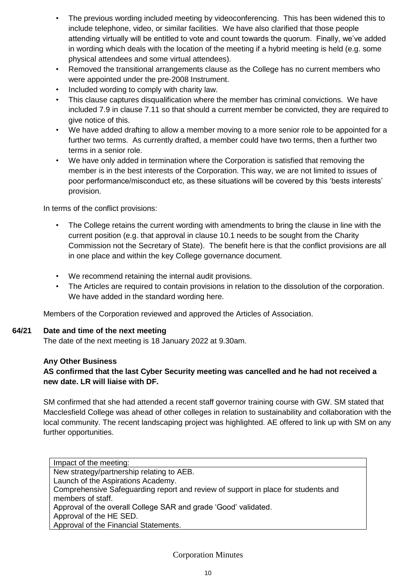- The previous wording included meeting by videoconferencing. This has been widened this to include telephone, video, or similar facilities. We have also clarified that those people attending virtually will be entitled to vote and count towards the quorum. Finally, we've added in wording which deals with the location of the meeting if a hybrid meeting is held (e.g. some physical attendees and some virtual attendees).
- Removed the transitional arrangements clause as the College has no current members who were appointed under the pre-2008 Instrument.
- Included wording to comply with charity law.
- This clause captures disqualification where the member has criminal convictions. We have included 7.9 in clause 7.11 so that should a current member be convicted, they are required to give notice of this.
- We have added drafting to allow a member moving to a more senior role to be appointed for a further two terms. As currently drafted, a member could have two terms, then a further two terms in a senior role.
- We have only added in termination where the Corporation is satisfied that removing the member is in the best interests of the Corporation. This way, we are not limited to issues of poor performance/misconduct etc, as these situations will be covered by this 'bests interests' provision.

In terms of the conflict provisions:

- The College retains the current wording with amendments to bring the clause in line with the current position (e.g. that approval in clause 10.1 needs to be sought from the Charity Commission not the Secretary of State). The benefit here is that the conflict provisions are all in one place and within the key College governance document.
- We recommend retaining the internal audit provisions.
- The Articles are required to contain provisions in relation to the dissolution of the corporation. We have added in the standard wording here.

Members of the Corporation reviewed and approved the Articles of Association.

#### **64/21 Date and time of the next meeting**

The date of the next meeting is 18 January 2022 at 9.30am.

#### **Any Other Business**

# **AS confirmed that the last Cyber Security meeting was cancelled and he had not received a new date. LR will liaise with DF.**

SM confirmed that she had attended a recent staff governor training course with GW. SM stated that Macclesfield College was ahead of other colleges in relation to sustainability and collaboration with the local community. The recent landscaping project was highlighted. AE offered to link up with SM on any further opportunities.

Impact of the meeting: New strategy/partnership relating to AEB. Launch of the Aspirations Academy. Comprehensive Safeguarding report and review of support in place for students and members of staff. Approval of the overall College SAR and grade 'Good' validated. Approval of the HE SED. Approval of the Financial Statements.